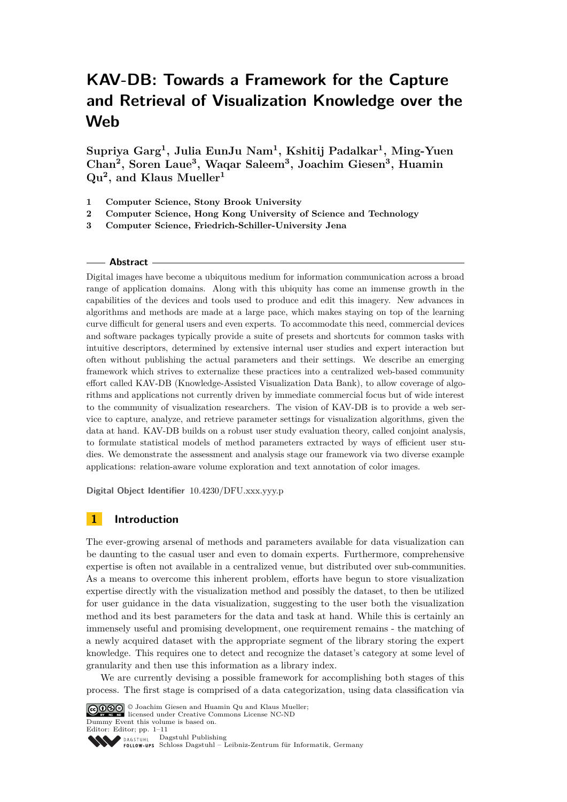# **KAV-DB: Towards a Framework for the Capture and Retrieval of Visualization Knowledge over the Web**

**Supriya Garg<sup>1</sup> , Julia EunJu Nam<sup>1</sup> , Kshitij Padalkar<sup>1</sup> , Ming-Yuen Chan<sup>2</sup> , Soren Laue<sup>3</sup> , Waqar Saleem<sup>3</sup> , Joachim Giesen<sup>3</sup> , Huamin Qu<sup>2</sup> , and Klaus Mueller<sup>1</sup>**

- **1 Computer Science, Stony Brook University**
- **2 Computer Science, Hong Kong University of Science and Technology**
- **3 Computer Science, Friedrich-Schiller-University Jena**

#### **Abstract**

Digital images have become a ubiquitous medium for information communication across a broad range of application domains. Along with this ubiquity has come an immense growth in the capabilities of the devices and tools used to produce and edit this imagery. New advances in algorithms and methods are made at a large pace, which makes staying on top of the learning curve difficult for general users and even experts. To accommodate this need, commercial devices and software packages typically provide a suite of presets and shortcuts for common tasks with intuitive descriptors, determined by extensive internal user studies and expert interaction but often without publishing the actual parameters and their settings. We describe an emerging framework which strives to externalize these practices into a centralized web-based community effort called KAV-DB (Knowledge-Assisted Visualization Data Bank), to allow coverage of algorithms and applications not currently driven by immediate commercial focus but of wide interest to the community of visualization researchers. The vision of KAV-DB is to provide a web service to capture, analyze, and retrieve parameter settings for visualization algorithms, given the data at hand. KAV-DB builds on a robust user study evaluation theory, called conjoint analysis, to formulate statistical models of method parameters extracted by ways of efficient user studies. We demonstrate the assessment and analysis stage our framework via two diverse example applications: relation-aware volume exploration and text annotation of color images.

**Digital Object Identifier** [10.4230/DFU.xxx.yyy.p](http://dx.doi.org/10.4230/DFU.xxx.yyy.p)

## **1 Introduction**

The ever-growing arsenal of methods and parameters available for data visualization can be daunting to the casual user and even to domain experts. Furthermore, comprehensive expertise is often not available in a centralized venue, but distributed over sub-communities. As a means to overcome this inherent problem, efforts have begun to store visualization expertise directly with the visualization method and possibly the dataset, to then be utilized for user guidance in the data visualization, suggesting to the user both the visualization method and its best parameters for the data and task at hand. While this is certainly an immensely useful and promising development, one requirement remains - the matching of a newly acquired dataset with the appropriate segment of the library storing the expert knowledge. This requires one to detect and recognize the dataset's category at some level of granularity and then use this information as a library index.

We are currently devising a possible framework for accomplishing both stages of this process. The first stage is comprised of a data categorization, using data classification via



Dagstuhl Publishing DAGSTUHL Schloss Dagstuhl – Leibniz-Zentrum für Informatik, Germany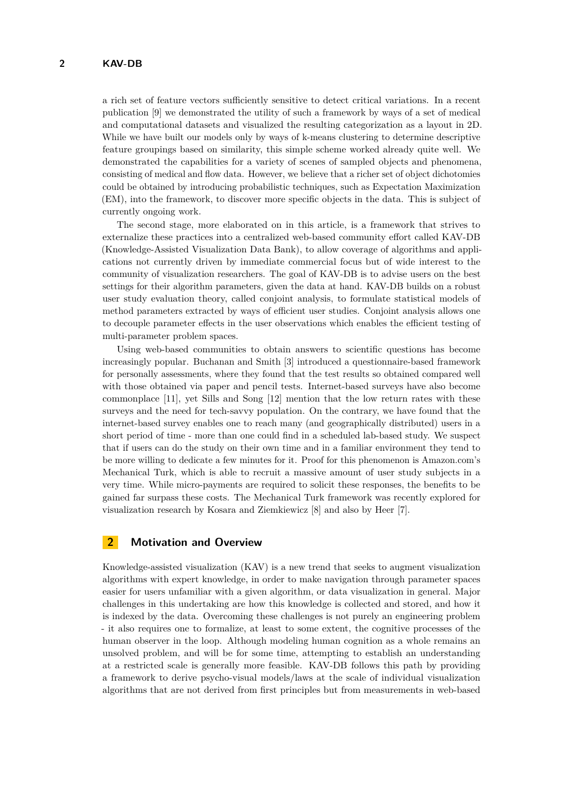a rich set of feature vectors sufficiently sensitive to detect critical variations. In a recent publication [\[9\]](#page-10-1) we demonstrated the utility of such a framework by ways of a set of medical and computational datasets and visualized the resulting categorization as a layout in 2D. While we have built our models only by ways of k-means clustering to determine descriptive feature groupings based on similarity, this simple scheme worked already quite well. We demonstrated the capabilities for a variety of scenes of sampled objects and phenomena, consisting of medical and flow data. However, we believe that a richer set of object dichotomies could be obtained by introducing probabilistic techniques, such as Expectation Maximization (EM), into the framework, to discover more specific objects in the data. This is subject of currently ongoing work.

The second stage, more elaborated on in this article, is a framework that strives to externalize these practices into a centralized web-based community effort called KAV-DB (Knowledge-Assisted Visualization Data Bank), to allow coverage of algorithms and applications not currently driven by immediate commercial focus but of wide interest to the community of visualization researchers. The goal of KAV-DB is to advise users on the best settings for their algorithm parameters, given the data at hand. KAV-DB builds on a robust user study evaluation theory, called conjoint analysis, to formulate statistical models of method parameters extracted by ways of efficient user studies. Conjoint analysis allows one to decouple parameter effects in the user observations which enables the efficient testing of multi-parameter problem spaces.

Using web-based communities to obtain answers to scientific questions has become increasingly popular. Buchanan and Smith [\[3\]](#page-10-2) introduced a questionnaire-based framework for personally assessments, where they found that the test results so obtained compared well with those obtained via paper and pencil tests. Internet-based surveys have also become commonplace [\[11\]](#page-10-3), yet Sills and Song [\[12\]](#page-10-4) mention that the low return rates with these surveys and the need for tech-savvy population. On the contrary, we have found that the internet-based survey enables one to reach many (and geographically distributed) users in a short period of time - more than one could find in a scheduled lab-based study. We suspect that if users can do the study on their own time and in a familiar environment they tend to be more willing to dedicate a few minutes for it. Proof for this phenomenon is Amazon.com's Mechanical Turk, which is able to recruit a massive amount of user study subjects in a very time. While micro-payments are required to solicit these responses, the benefits to be gained far surpass these costs. The Mechanical Turk framework was recently explored for visualization research by Kosara and Ziemkiewicz [\[8\]](#page-10-5) and also by Heer [\[7\]](#page-10-6).

### **2 Motivation and Overview**

Knowledge-assisted visualization (KAV) is a new trend that seeks to augment visualization algorithms with expert knowledge, in order to make navigation through parameter spaces easier for users unfamiliar with a given algorithm, or data visualization in general. Major challenges in this undertaking are how this knowledge is collected and stored, and how it is indexed by the data. Overcoming these challenges is not purely an engineering problem - it also requires one to formalize, at least to some extent, the cognitive processes of the human observer in the loop. Although modeling human cognition as a whole remains an unsolved problem, and will be for some time, attempting to establish an understanding at a restricted scale is generally more feasible. KAV-DB follows this path by providing a framework to derive psycho-visual models/laws at the scale of individual visualization algorithms that are not derived from first principles but from measurements in web-based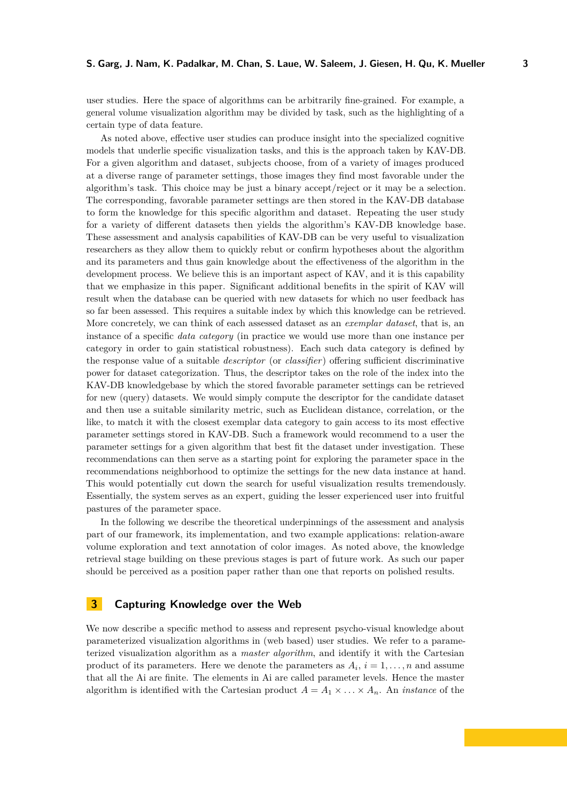user studies. Here the space of algorithms can be arbitrarily fine-grained. For example, a general volume visualization algorithm may be divided by task, such as the highlighting of a certain type of data feature.

As noted above, effective user studies can produce insight into the specialized cognitive models that underlie specific visualization tasks, and this is the approach taken by KAV-DB. For a given algorithm and dataset, subjects choose, from of a variety of images produced at a diverse range of parameter settings, those images they find most favorable under the algorithm's task. This choice may be just a binary accept/reject or it may be a selection. The corresponding, favorable parameter settings are then stored in the KAV-DB database to form the knowledge for this specific algorithm and dataset. Repeating the user study for a variety of different datasets then yields the algorithm's KAV-DB knowledge base. These assessment and analysis capabilities of KAV-DB can be very useful to visualization researchers as they allow them to quickly rebut or confirm hypotheses about the algorithm and its parameters and thus gain knowledge about the effectiveness of the algorithm in the development process. We believe this is an important aspect of KAV, and it is this capability that we emphasize in this paper. Significant additional benefits in the spirit of KAV will result when the database can be queried with new datasets for which no user feedback has so far been assessed. This requires a suitable index by which this knowledge can be retrieved. More concretely, we can think of each assessed dataset as an *exemplar dataset*, that is, an instance of a specific *data category* (in practice we would use more than one instance per category in order to gain statistical robustness). Each such data category is defined by the response value of a suitable *descriptor* (or *classifier*) offering sufficient discriminative power for dataset categorization. Thus, the descriptor takes on the role of the index into the KAV-DB knowledgebase by which the stored favorable parameter settings can be retrieved for new (query) datasets. We would simply compute the descriptor for the candidate dataset and then use a suitable similarity metric, such as Euclidean distance, correlation, or the like, to match it with the closest exemplar data category to gain access to its most effective parameter settings stored in KAV-DB. Such a framework would recommend to a user the parameter settings for a given algorithm that best fit the dataset under investigation. These recommendations can then serve as a starting point for exploring the parameter space in the recommendations neighborhood to optimize the settings for the new data instance at hand. This would potentially cut down the search for useful visualization results tremendously. Essentially, the system serves as an expert, guiding the lesser experienced user into fruitful pastures of the parameter space.

In the following we describe the theoretical underpinnings of the assessment and analysis part of our framework, its implementation, and two example applications: relation-aware volume exploration and text annotation of color images. As noted above, the knowledge retrieval stage building on these previous stages is part of future work. As such our paper should be perceived as a position paper rather than one that reports on polished results.

#### **3 Capturing Knowledge over the Web**

We now describe a specific method to assess and represent psycho-visual knowledge about parameterized visualization algorithms in (web based) user studies. We refer to a parameterized visualization algorithm as a *master algorithm*, and identify it with the Cartesian product of its parameters. Here we denote the parameters as  $A_i$ ,  $i = 1, \ldots, n$  and assume that all the Ai are finite. The elements in Ai are called parameter levels. Hence the master algorithm is identified with the Cartesian product  $A = A_1 \times \ldots \times A_n$ . An *instance* of the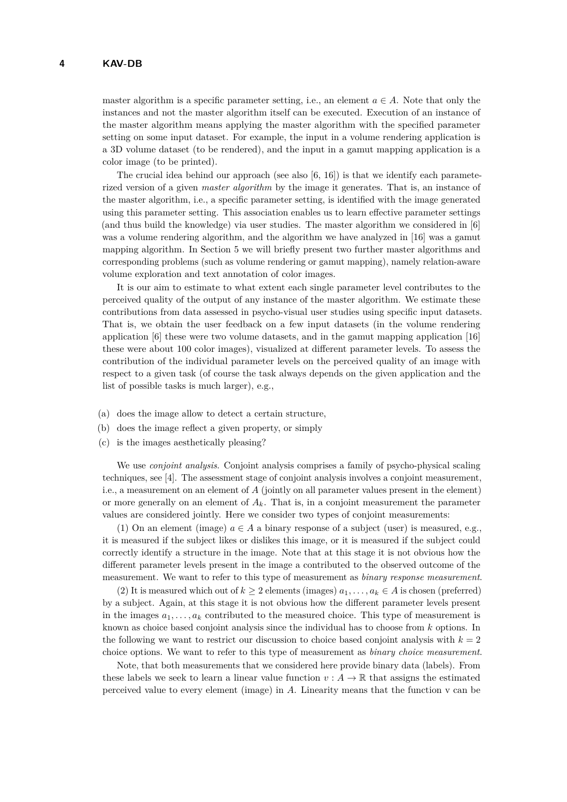master algorithm is a specific parameter setting, i.e., an element  $a \in A$ . Note that only the instances and not the master algorithm itself can be executed. Execution of an instance of the master algorithm means applying the master algorithm with the specified parameter setting on some input dataset. For example, the input in a volume rendering application is a 3D volume dataset (to be rendered), and the input in a gamut mapping application is a color image (to be printed).

The crucial idea behind our approach (see also  $[6, 16]$  $[6, 16]$  $[6, 16]$ ) is that we identify each parameterized version of a given *master algorithm* by the image it generates. That is, an instance of the master algorithm, i.e., a specific parameter setting, is identified with the image generated using this parameter setting. This association enables us to learn effective parameter settings (and thus build the knowledge) via user studies. The master algorithm we considered in [\[6\]](#page-10-7) was a volume rendering algorithm, and the algorithm we have analyzed in [\[16\]](#page-10-8) was a gamut mapping algorithm. In Section 5 we will briefly present two further master algorithms and corresponding problems (such as volume rendering or gamut mapping), namely relation-aware volume exploration and text annotation of color images.

It is our aim to estimate to what extent each single parameter level contributes to the perceived quality of the output of any instance of the master algorithm. We estimate these contributions from data assessed in psycho-visual user studies using specific input datasets. That is, we obtain the user feedback on a few input datasets (in the volume rendering application [\[6\]](#page-10-7) these were two volume datasets, and in the gamut mapping application [\[16\]](#page-10-8) these were about 100 color images), visualized at different parameter levels. To assess the contribution of the individual parameter levels on the perceived quality of an image with respect to a given task (of course the task always depends on the given application and the list of possible tasks is much larger), e.g.,

- (a) does the image allow to detect a certain structure,
- (b) does the image reflect a given property, or simply
- (c) is the images aesthetically pleasing?

We use *conjoint analysis*. Conjoint analysis comprises a family of psycho-physical scaling techniques, see [\[4\]](#page-10-9). The assessment stage of conjoint analysis involves a conjoint measurement, i.e., a measurement on an element of *A* (jointly on all parameter values present in the element) or more generally on an element of  $A_k$ . That is, in a conjoint measurement the parameter values are considered jointly. Here we consider two types of conjoint measurements:

(1) On an element (image)  $a \in A$  a binary response of a subject (user) is measured, e.g., it is measured if the subject likes or dislikes this image, or it is measured if the subject could correctly identify a structure in the image. Note that at this stage it is not obvious how the different parameter levels present in the image a contributed to the observed outcome of the measurement. We want to refer to this type of measurement as *binary response measurement*.

(2) It is measured which out of  $k > 2$  elements (images)  $a_1, \ldots, a_k \in A$  is chosen (preferred) by a subject. Again, at this stage it is not obvious how the different parameter levels present in the images  $a_1, \ldots, a_k$  contributed to the measured choice. This type of measurement is known as choice based conjoint analysis since the individual has to choose from *k* options. In the following we want to restrict our discussion to choice based conjoint analysis with  $k = 2$ choice options. We want to refer to this type of measurement as *binary choice measurement*.

Note, that both measurements that we considered here provide binary data (labels). From these labels we seek to learn a linear value function  $v : A \to \mathbb{R}$  that assigns the estimated perceived value to every element (image) in *A*. Linearity means that the function v can be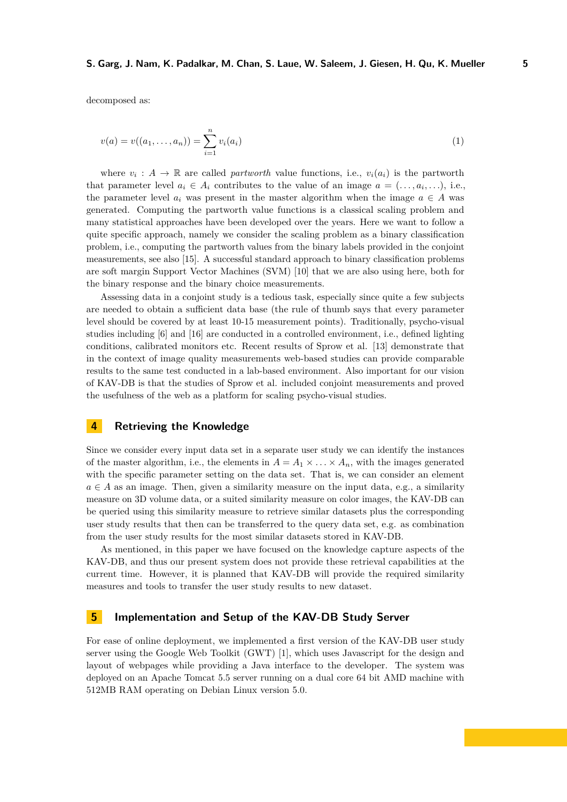decomposed as:

$$
v(a) = v((a_1, \dots, a_n)) = \sum_{i=1}^n v_i(a_i)
$$
\n(1)

where  $v_i: A \to \mathbb{R}$  are called *partworth* value functions, i.e.,  $v_i(a_i)$  is the partworth that parameter level  $a_i \in A_i$  contributes to the value of an image  $a = (..., a_i,...),$  i.e., the parameter level  $a_i$  was present in the master algorithm when the image  $a \in A$  was generated. Computing the partworth value functions is a classical scaling problem and many statistical approaches have been developed over the years. Here we want to follow a quite specific approach, namely we consider the scaling problem as a binary classification problem, i.e., computing the partworth values from the binary labels provided in the conjoint measurements, see also [\[15\]](#page-10-10). A successful standard approach to binary classification problems are soft margin Support Vector Machines (SVM) [\[10\]](#page-10-11) that we are also using here, both for the binary response and the binary choice measurements.

Assessing data in a conjoint study is a tedious task, especially since quite a few subjects are needed to obtain a sufficient data base (the rule of thumb says that every parameter level should be covered by at least 10-15 measurement points). Traditionally, psycho-visual studies including [\[6\]](#page-10-7) and [\[16\]](#page-10-8) are conducted in a controlled environment, i.e., defined lighting conditions, calibrated monitors etc. Recent results of Sprow et al. [\[13\]](#page-10-12) demonstrate that in the context of image quality measurements web-based studies can provide comparable results to the same test conducted in a lab-based environment. Also important for our vision of KAV-DB is that the studies of Sprow et al. included conjoint measurements and proved the usefulness of the web as a platform for scaling psycho-visual studies.

#### **4 Retrieving the Knowledge**

Since we consider every input data set in a separate user study we can identify the instances of the master algorithm, i.e., the elements in  $A = A_1 \times \ldots \times A_n$ , with the images generated with the specific parameter setting on the data set. That is, we can consider an element  $a \in A$  as an image. Then, given a similarity measure on the input data, e.g., a similarity measure on 3D volume data, or a suited similarity measure on color images, the KAV-DB can be queried using this similarity measure to retrieve similar datasets plus the corresponding user study results that then can be transferred to the query data set, e.g. as combination from the user study results for the most similar datasets stored in KAV-DB.

As mentioned, in this paper we have focused on the knowledge capture aspects of the KAV-DB, and thus our present system does not provide these retrieval capabilities at the current time. However, it is planned that KAV-DB will provide the required similarity measures and tools to transfer the user study results to new dataset.

## **5 Implementation and Setup of the KAV-DB Study Server**

For ease of online deployment, we implemented a first version of the KAV-DB user study server using the Google Web Toolkit (GWT) [\[1\]](#page-10-13), which uses Javascript for the design and layout of webpages while providing a Java interface to the developer. The system was deployed on an Apache Tomcat 5.5 server running on a dual core 64 bit AMD machine with 512MB RAM operating on Debian Linux version 5.0.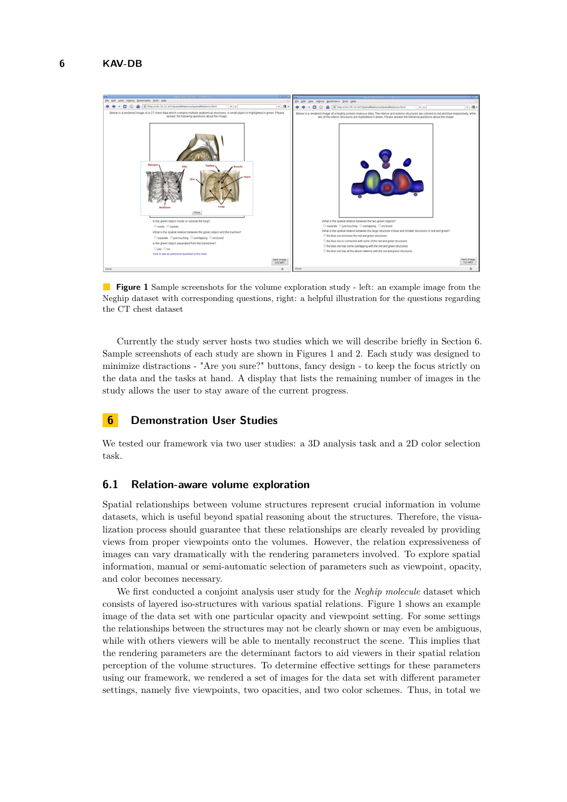

**Figure 1** Sample screenshots for the volume exploration study - left: an example image from the Neghip dataset with corresponding questions, right: a helpful illustration for the questions regarding the CT chest dataset

Currently the study server hosts two studies which we will describe briefly in Section 6. Sample screenshots of each study are shown in Figures 1 and 2. Each study was designed to minimize distractions - "Are you sure?" buttons, fancy design - to keep the focus strictly on the data and the tasks at hand. A display that lists the remaining number of images in the study allows the user to stay aware of the current progress.

# **6 Demonstration User Studies**

We tested our framework via two user studies: a 3D analysis task and a 2D color selection task.

## **6.1 Relation-aware volume exploration**

Spatial relationships between volume structures represent crucial information in volume datasets, which is useful beyond spatial reasoning about the structures. Therefore, the visualization process should guarantee that these relationships are clearly revealed by providing views from proper viewpoints onto the volumes. However, the relation expressiveness of images can vary dramatically with the rendering parameters involved. To explore spatial information, manual or semi-automatic selection of parameters such as viewpoint, opacity, and color becomes necessary.

We first conducted a conjoint analysis user study for the *Neghip molecule* dataset which consists of layered iso-structures with various spatial relations. Figure 1 shows an example image of the data set with one particular opacity and viewpoint setting. For some settings the relationships between the structures may not be clearly shown or may even be ambiguous, while with others viewers will be able to mentally reconstruct the scene. This implies that the rendering parameters are the determinant factors to aid viewers in their spatial relation perception of the volume structures. To determine effective settings for these parameters using our framework, we rendered a set of images for the data set with different parameter settings, namely five viewpoints, two opacities, and two color schemes. Thus, in total we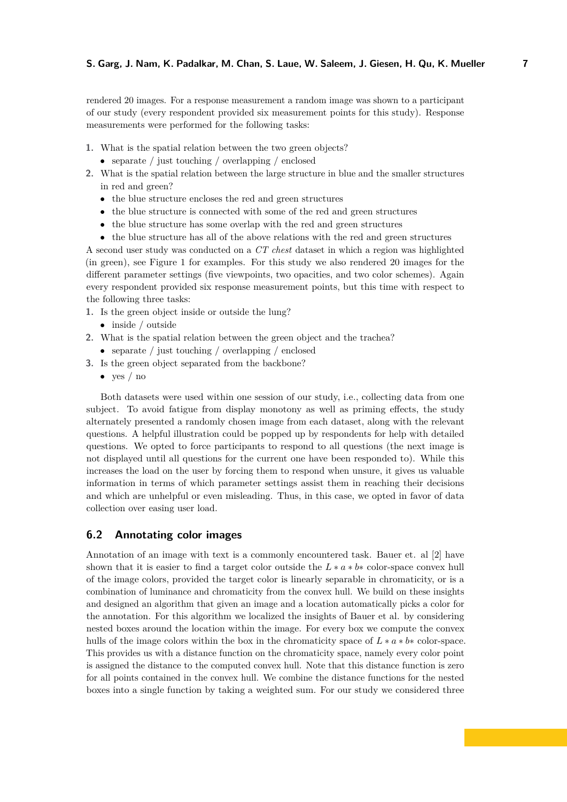rendered 20 images. For a response measurement a random image was shown to a participant of our study (every respondent provided six measurement points for this study). Response measurements were performed for the following tasks:

- **1.** What is the spatial relation between the two green objects?
	- separate / just touching / overlapping / enclosed
- **2.** What is the spatial relation between the large structure in blue and the smaller structures in red and green?
	- the blue structure encloses the red and green structures
	- the blue structure is connected with some of the red and green structures
	- the blue structure has some overlap with the red and green structures
	- the blue structure has all of the above relations with the red and green structures

A second user study was conducted on a *CT chest* dataset in which a region was highlighted (in green), see Figure 1 for examples. For this study we also rendered 20 images for the different parameter settings (five viewpoints, two opacities, and two color schemes). Again every respondent provided six response measurement points, but this time with respect to the following three tasks:

- **1.** Is the green object inside or outside the lung?
	- inside / outside
- **2.** What is the spatial relation between the green object and the trachea?
	- separate / just touching / overlapping / enclosed
- **3.** Is the green object separated from the backbone?
	- yes  $/$  no

Both datasets were used within one session of our study, i.e., collecting data from one subject. To avoid fatigue from display monotony as well as priming effects, the study alternately presented a randomly chosen image from each dataset, along with the relevant questions. A helpful illustration could be popped up by respondents for help with detailed questions. We opted to force participants to respond to all questions (the next image is not displayed until all questions for the current one have been responded to). While this increases the load on the user by forcing them to respond when unsure, it gives us valuable information in terms of which parameter settings assist them in reaching their decisions and which are unhelpful or even misleading. Thus, in this case, we opted in favor of data collection over easing user load.

## **6.2 Annotating color images**

Annotation of an image with text is a commonly encountered task. Bauer et. al [\[2\]](#page-10-14) have shown that it is easier to find a target color outside the  $L * a * b *$  color-space convex hull of the image colors, provided the target color is linearly separable in chromaticity, or is a combination of luminance and chromaticity from the convex hull. We build on these insights and designed an algorithm that given an image and a location automatically picks a color for the annotation. For this algorithm we localized the insights of Bauer et al. by considering nested boxes around the location within the image. For every box we compute the convex hulls of the image colors within the box in the chromaticity space of  $L * a * b *$  color-space. This provides us with a distance function on the chromaticity space, namely every color point is assigned the distance to the computed convex hull. Note that this distance function is zero for all points contained in the convex hull. We combine the distance functions for the nested boxes into a single function by taking a weighted sum. For our study we considered three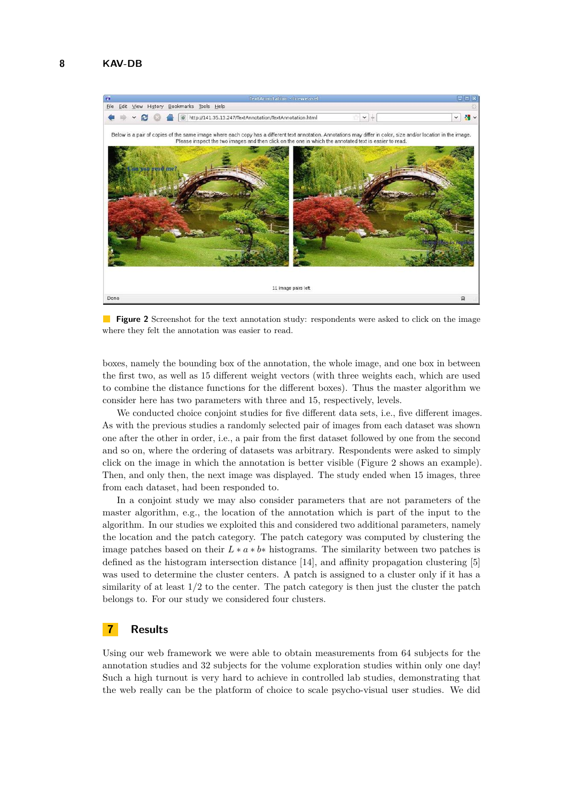

**Figure 2** Screenshot for the text annotation study: respondents were asked to click on the image where they felt the annotation was easier to read.

boxes, namely the bounding box of the annotation, the whole image, and one box in between the first two, as well as 15 different weight vectors (with three weights each, which are used to combine the distance functions for the different boxes). Thus the master algorithm we consider here has two parameters with three and 15, respectively, levels.

We conducted choice conjoint studies for five different data sets, *i.e.*, five different images. As with the previous studies a randomly selected pair of images from each dataset was shown one after the other in order, i.e., a pair from the first dataset followed by one from the second and so on, where the ordering of datasets was arbitrary. Respondents were asked to simply click on the image in which the annotation is better visible (Figure 2 shows an example). Then, and only then, the next image was displayed. The study ended when 15 images, three from each dataset, had been responded to.

In a conjoint study we may also consider parameters that are not parameters of the master algorithm, e.g., the location of the annotation which is part of the input to the algorithm. In our studies we exploited this and considered two additional parameters, namely the location and the patch category. The patch category was computed by clustering the image patches based on their  $L * a * b *$  histograms. The similarity between two patches is defined as the histogram intersection distance [\[14\]](#page-10-15), and affinity propagation clustering [\[5\]](#page-10-16) was used to determine the cluster centers. A patch is assigned to a cluster only if it has a similarity of at least  $1/2$  to the center. The patch category is then just the cluster the patch belongs to. For our study we considered four clusters.

# **7 Results**

Using our web framework we were able to obtain measurements from 64 subjects for the annotation studies and 32 subjects for the volume exploration studies within only one day! Such a high turnout is very hard to achieve in controlled lab studies, demonstrating that the web really can be the platform of choice to scale psycho-visual user studies. We did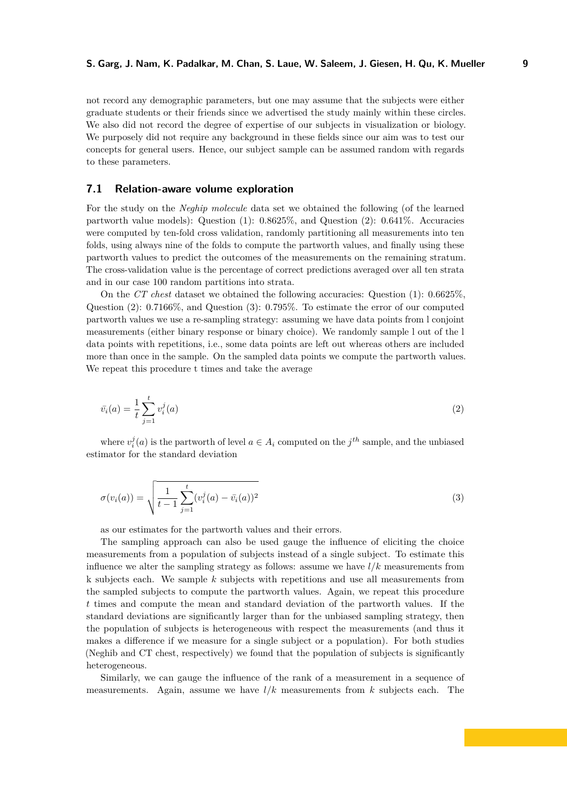not record any demographic parameters, but one may assume that the subjects were either graduate students or their friends since we advertised the study mainly within these circles. We also did not record the degree of expertise of our subjects in visualization or biology. We purposely did not require any background in these fields since our aim was to test our concepts for general users. Hence, our subject sample can be assumed random with regards to these parameters.

### **7.1 Relation-aware volume exploration**

For the study on the *Neghip molecule* data set we obtained the following (of the learned partworth value models): Question (1): 0.8625%, and Question (2): 0.641%. Accuracies were computed by ten-fold cross validation, randomly partitioning all measurements into ten folds, using always nine of the folds to compute the partworth values, and finally using these partworth values to predict the outcomes of the measurements on the remaining stratum. The cross-validation value is the percentage of correct predictions averaged over all ten strata and in our case 100 random partitions into strata.

On the *CT chest* dataset we obtained the following accuracies: Question (1): 0.6625%, Question (2): 0.7166%, and Question (3): 0.795%. To estimate the error of our computed partworth values we use a re-sampling strategy: assuming we have data points from l conjoint measurements (either binary response or binary choice). We randomly sample l out of the l data points with repetitions, i.e., some data points are left out whereas others are included more than once in the sample. On the sampled data points we compute the partworth values. We repeat this procedure t times and take the average

$$
\bar{v}_i(a) = \frac{1}{t} \sum_{j=1}^t v_i^j(a)
$$
\n(2)

where  $v_i^j(a)$  is the partworth of level  $a \in A_i$  computed on the  $j^{th}$  sample, and the unbiased estimator for the standard deviation

$$
\sigma(v_i(a)) = \sqrt{\frac{1}{t-1} \sum_{j=1}^t (v_i^j(a) - \bar{v}_i(a))^2}
$$
\n(3)

as our estimates for the partworth values and their errors.

The sampling approach can also be used gauge the influence of eliciting the choice measurements from a population of subjects instead of a single subject. To estimate this influence we alter the sampling strategy as follows: assume we have  $l/k$  measurements from k subjects each. We sample *k* subjects with repetitions and use all measurements from the sampled subjects to compute the partworth values. Again, we repeat this procedure *t* times and compute the mean and standard deviation of the partworth values. If the standard deviations are significantly larger than for the unbiased sampling strategy, then the population of subjects is heterogeneous with respect the measurements (and thus it makes a difference if we measure for a single subject or a population). For both studies (Neghib and CT chest, respectively) we found that the population of subjects is significantly heterogeneous.

Similarly, we can gauge the influence of the rank of a measurement in a sequence of measurements. Again, assume we have  $l/k$  measurements from  $k$  subjects each. The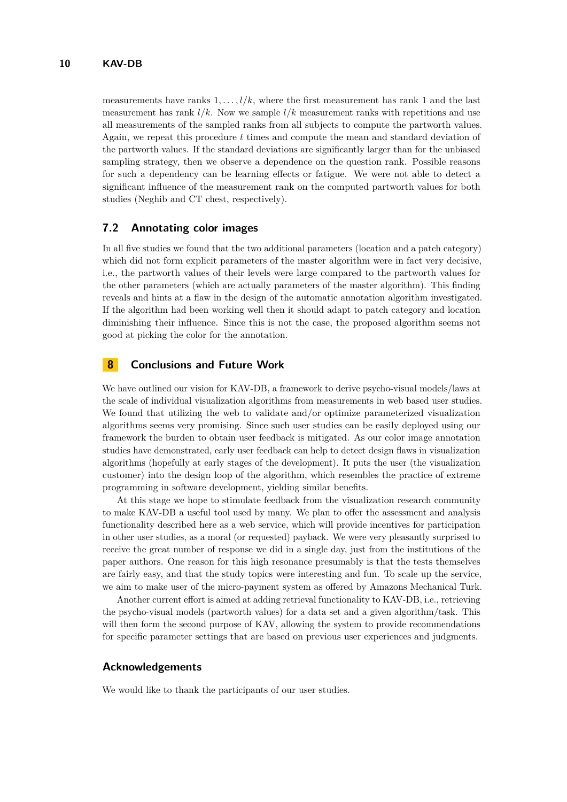measurements have ranks  $1, \ldots, l/k$ , where the first measurement has rank 1 and the last measurement has rank  $l/k$ . Now we sample  $l/k$  measurement ranks with repetitions and use all measurements of the sampled ranks from all subjects to compute the partworth values. Again, we repeat this procedure *t* times and compute the mean and standard deviation of the partworth values. If the standard deviations are significantly larger than for the unbiased sampling strategy, then we observe a dependence on the question rank. Possible reasons for such a dependency can be learning effects or fatigue. We were not able to detect a significant influence of the measurement rank on the computed partworth values for both studies (Neghib and CT chest, respectively).

#### **7.2 Annotating color images**

In all five studies we found that the two additional parameters (location and a patch category) which did not form explicit parameters of the master algorithm were in fact very decisive, i.e., the partworth values of their levels were large compared to the partworth values for the other parameters (which are actually parameters of the master algorithm). This finding reveals and hints at a flaw in the design of the automatic annotation algorithm investigated. If the algorithm had been working well then it should adapt to patch category and location diminishing their influence. Since this is not the case, the proposed algorithm seems not good at picking the color for the annotation.

## **8 Conclusions and Future Work**

We have outlined our vision for KAV-DB, a framework to derive psycho-visual models/laws at the scale of individual visualization algorithms from measurements in web based user studies. We found that utilizing the web to validate and/or optimize parameterized visualization algorithms seems very promising. Since such user studies can be easily deployed using our framework the burden to obtain user feedback is mitigated. As our color image annotation studies have demonstrated, early user feedback can help to detect design flaws in visualization algorithms (hopefully at early stages of the development). It puts the user (the visualization customer) into the design loop of the algorithm, which resembles the practice of extreme programming in software development, yielding similar benefits.

At this stage we hope to stimulate feedback from the visualization research community to make KAV-DB a useful tool used by many. We plan to offer the assessment and analysis functionality described here as a web service, which will provide incentives for participation in other user studies, as a moral (or requested) payback. We were very pleasantly surprised to receive the great number of response we did in a single day, just from the institutions of the paper authors. One reason for this high resonance presumably is that the tests themselves are fairly easy, and that the study topics were interesting and fun. To scale up the service, we aim to make user of the micro-payment system as offered by Amazons Mechanical Turk.

Another current effort is aimed at adding retrieval functionality to KAV-DB, i.e., retrieving the psycho-visual models (partworth values) for a data set and a given algorithm/task. This will then form the second purpose of KAV, allowing the system to provide recommendations for specific parameter settings that are based on previous user experiences and judgments.

#### **Acknowledgements**

We would like to thank the participants of our user studies.